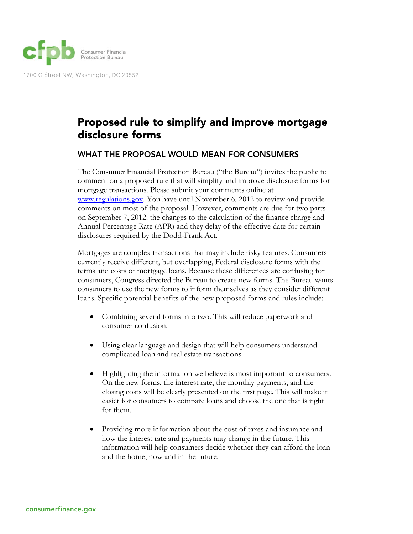

1700 G Street NW, Washington, DC 20552

## Proposed rule to simplify and improve mortgage disclosure forms

## WHAT THE PROPOSAL WOULD MEAN FOR CONSUMERS

The Consumer Financial Protection Bureau ("the Bureau") invites the public to comment on a proposed rule that will simplify and improve disclosure forms for mortgage transactions. Please submit your comments online at www.regulations.gov. You have until November 6, 2012 to review and provide comments on most of the proposal. However, comments are due for two parts on September 7, 2012: the changes to the calculation of the finance charge and Annual Percentage Rate (APR) and they delay of the effective date for certain disclosures required by the Dodd-Frank Act.

Mortgages are complex transactions that may include risky features. Consumers currently receive different, but overlapping, Federal disclosure forms with the terms and costs of mortgage loans. Because these differences are confusing for consumers, Congress directed the Bureau to create new forms. The Bureau wants consumers to use the new forms to inform themselves as they consider different loans. Specific potential benefits of the new proposed forms and rules include:

- Combining several forms into two. This will reduce paperwork and consumer confusion.
- Using clear language and design that will help consumers understand complicated loan and real estate transactions.
- Highlighting the information we believe is most important to consumers. On the new forms, the interest rate, the monthly payments, and the closing costs will be clearly presented on the first page. This will make it easier for consumers to compare loans and choose the one that is right for them.
- Providing more information about the cost of taxes and insurance and how the interest rate and payments may change in the future. This information will help consumers decide whether they can afford the loan and the home, now and in the future.